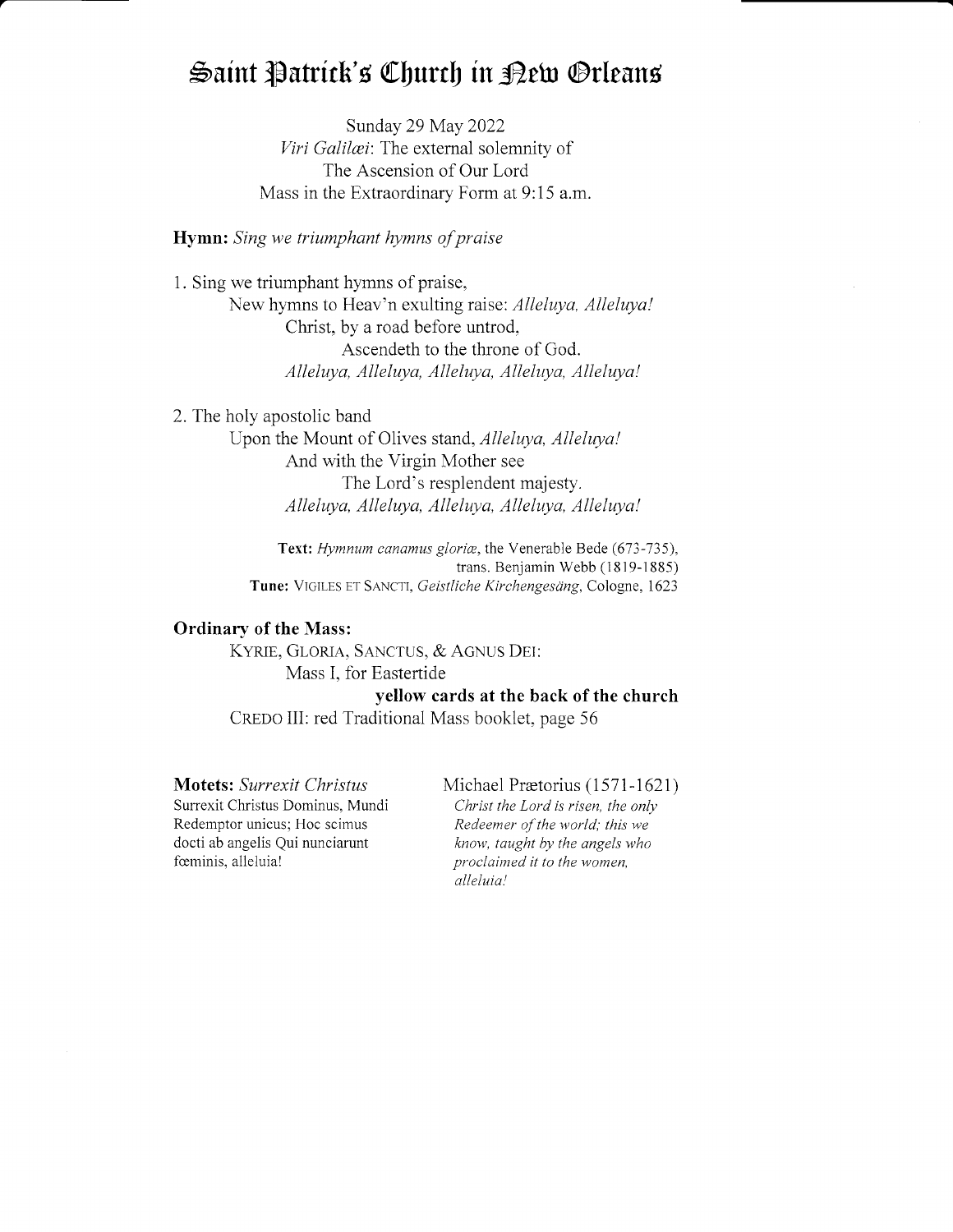# Saint Patrick's Church in Dew Orleans

Sunday 29 May 2022 Viri Galilei: The external solemnity of The Ascension of Our Lord Mass in the Extraordinary Form at 9:15 a.m.

Hymn: Sing we triumphant hymns of praise

1. Sing we triumphant hymns of praise, New hymns to Heav'n exulting raise: Alleluya, Alleluya! Christ, by a road before untrod, Ascendeth to the throne of God. Alleluya, Alleluya, Alleluya, Alleluya, Alleluya!

2. The holy apostolic band Upon the Mount of Olives stand, *Alleluya*, *Alleluya!* And with the Virgin Mother see The Lord's resplendent majesty. Alleluya, Alleluya, Alleluya, Alleluya, Alleluya!

> Text: Hymnum canamus gloriæ, the Venerable Bede (673-735), trans. Benjamin Webb (1819-1885) Tune: VIGILES ET SANCTI, Geistliche Kirchengesäng, Cologne, 1623

# Ordinary of the Mass:

KYRIE, GLORIA, SANCTUS, & AGNUS DEI: Mass I. for Eastertide

yellow cards at the back of the church CREDO III: red Traditional Mass booklet, page 56

Surrexit Christus Dominus, Mundi Christ the Lord is risen, the only Redemptor unicus; Hoc scimus Redeemer of the world; this we docti ab angelis Qui nunciarunt know, taught by the angels who fœminis, alleluia!

Motets: Surrexit Christus Michael Prætorius (1571-1621)

alleluia! proclaimed it to the women,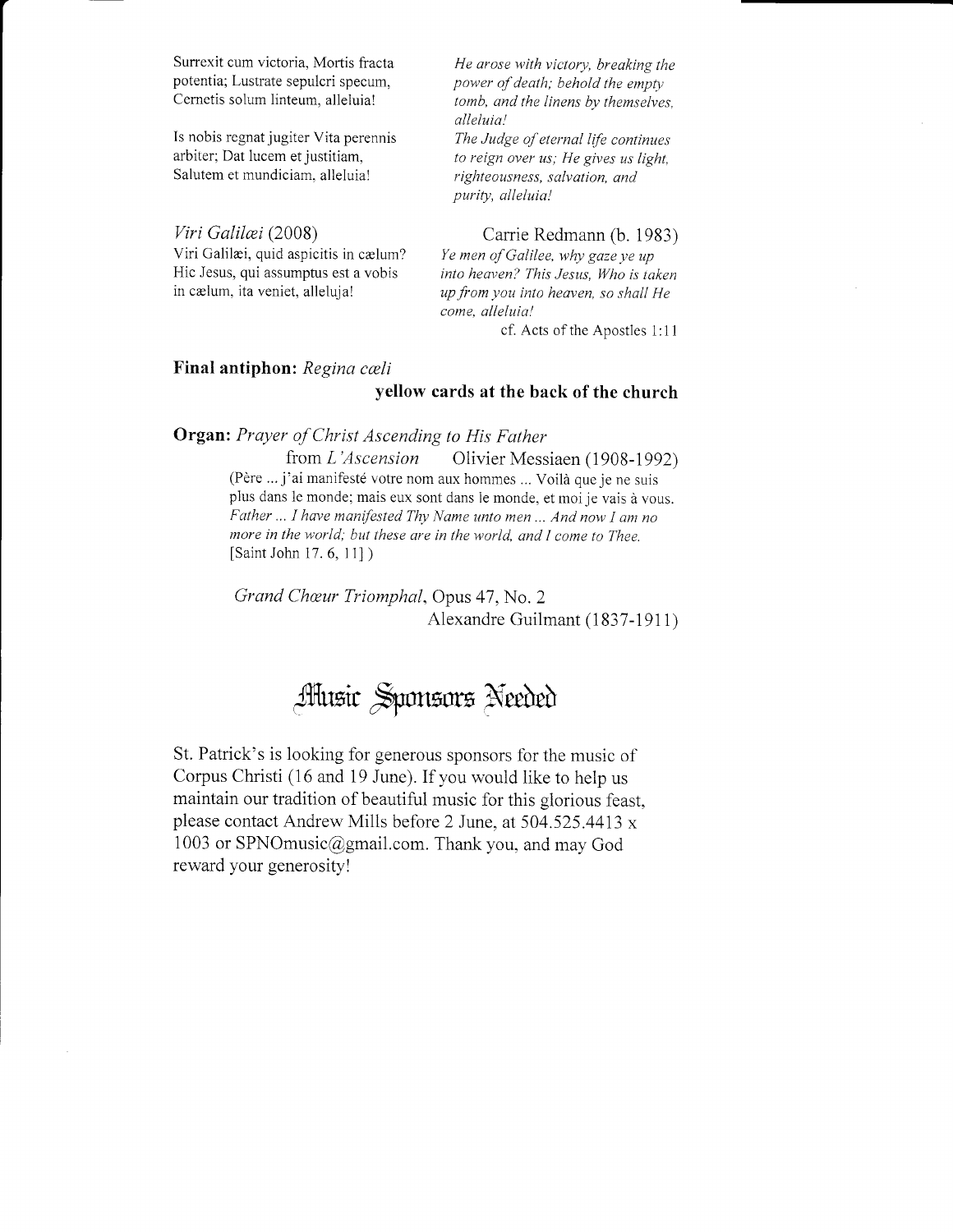Surrexit cum victoria, Mortis fracta potentia; Lustrate sepulcri specum, Cemetis solum linteum, alleluia!

Is nobis regnat jugiter Vita perennis arbiter: Dat Iucem et jusritiam. Salutem et mundiciam, alleluia!

Viri Galilæi (2008) Viri Galilæi, quid aspicitis in cælum? Hic Jesus, qui assumptus est a vobis in cælum, ita veniet, alleluja!

He arose with victory, breaking the power of death; behold the empty tomb, and the linens by themselves, alleluia! The Judge of eternal life continues to reign oyer us; He gives us light, righteousness, salvation, and

purity, alleluia!

# Carrie Redmann (b. 1983)

Ye men of Galilee, why gaze ye up into heaven? This Jesus, Who is taken up from you into heaven, so shall He come, alleluia!

cf. Acts of the Apostles 1:1 <sup>1</sup>

# Final antiphon: Regina cæli

### yellow cards at the back of the church

Organ: Prayer of Christ Ascending to His Father

from L'Ascension Olivier Messiaen (1908-1992) (Père ... j'ai manifesté votre nom aux hommes ... Voilà que je ne suis plus dans le monde; mais eux sont dans le monde, et moi je vais à vous. Father ... I have manifested Thy Name unto men ... And now I am no more in the world; but these are in the world, and I come to Thee. [Saint John 17.6, 11])

Grand Cheur Triomphal. Opus 47, No. 2 Alexandre Guilmant (1837-1911)

# Atusic Sponsors Needed

St. Patrick's is looking for generous sponsors for the music of Corpus Christi (16 and 19 June). If you wouid like to help us maintain our tradition of beautiful music for this glorious feast, please contact Andrew Mills before 2 June, at 504.525.4413 x 1003 or SPNOmusic@gmail.com. Thank you, and may God reward your generosity!